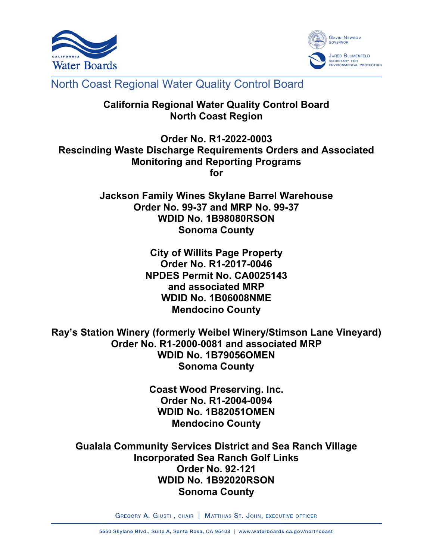



# North Coast Regional Water Quality Control Board

# **California Regional Water Quality Control Board North Coast Region**

**Order No. R1-2022-0003 Rescinding Waste Discharge Requirements Orders and Associated Monitoring and Reporting Programs for**

> **Jackson Family Wines Skylane Barrel Warehouse Order No. 99-37 and MRP No. 99-37 WDID No. 1B98080RSON Sonoma County**

> > **City of Willits Page Property Order No. R1-2017-0046 NPDES Permit No. CA0025143 and associated MRP WDID No. 1B06008NME Mendocino County**

**Ray's Station Winery (formerly Weibel Winery/Stimson Lane Vineyard) Order No. R1-2000-0081 and associated MRP WDID No. 1B79056OMEN Sonoma County**

> **Coast Wood Preserving. Inc. Order No. R1-2004-0094 WDID No. 1B82051OMEN Mendocino County**

**Gualala Community Services District and Sea Ranch Village Incorporated Sea Ranch Golf Links Order No. 92-121 WDID No. 1B92020RSON Sonoma County**

GREGORY A. GIUSTI, CHAIR | MATTHIAS ST. JOHN, EXECUTIVE OFFICER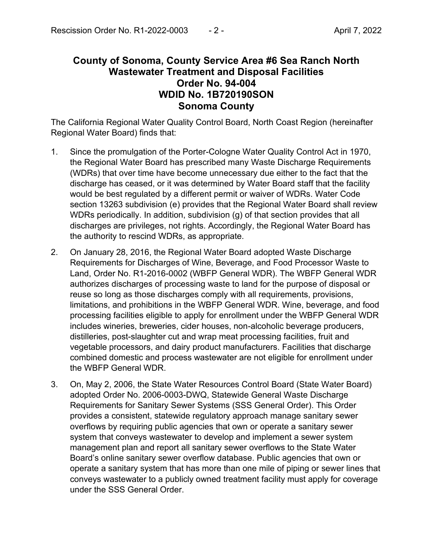# **County of Sonoma, County Service Area #6 Sea Ranch North Wastewater Treatment and Disposal Facilities Order No. 94-004 WDID No. 1B720190SON Sonoma County**

The California Regional Water Quality Control Board, North Coast Region (hereinafter Regional Water Board) finds that:

- 1. Since the promulgation of the Porter-Cologne Water Quality Control Act in 1970, the Regional Water Board has prescribed many Waste Discharge Requirements (WDRs) that over time have become unnecessary due either to the fact that the discharge has ceased, or it was determined by Water Board staff that the facility would be best regulated by a different permit or waiver of WDRs. Water Code section 13263 subdivision (e) provides that the Regional Water Board shall review WDRs periodically. In addition, subdivision (g) of that section provides that all discharges are privileges, not rights. Accordingly, the Regional Water Board has the authority to rescind WDRs, as appropriate.
- 2. On January 28, 2016, the Regional Water Board adopted Waste Discharge Requirements for Discharges of Wine, Beverage, and Food Processor Waste to Land, Order No. R1-2016-0002 (WBFP General WDR). The WBFP General WDR authorizes discharges of processing waste to land for the purpose of disposal or reuse so long as those discharges comply with all requirements, provisions, limitations, and prohibitions in the WBFP General WDR. Wine, beverage, and food processing facilities eligible to apply for enrollment under the WBFP General WDR includes wineries, breweries, cider houses, non-alcoholic beverage producers, distilleries, post-slaughter cut and wrap meat processing facilities, fruit and vegetable processors, and dairy product manufacturers. Facilities that discharge combined domestic and process wastewater are not eligible for enrollment under the WBFP General WDR.
- 3. On, May 2, 2006, the State Water Resources Control Board (State Water Board) adopted Order No. 2006-0003-DWQ, Statewide General Waste Discharge Requirements for Sanitary Sewer Systems (SSS General Order). This Order provides a consistent, statewide regulatory approach manage sanitary sewer overflows by requiring public agencies that own or operate a sanitary sewer system that conveys wastewater to develop and implement a sewer system management plan and report all sanitary sewer overflows to the State Water Board's online sanitary sewer overflow database. Public agencies that own or operate a sanitary system that has more than one mile of piping or sewer lines that conveys wastewater to a publicly owned treatment facility must apply for coverage under the SSS General Order.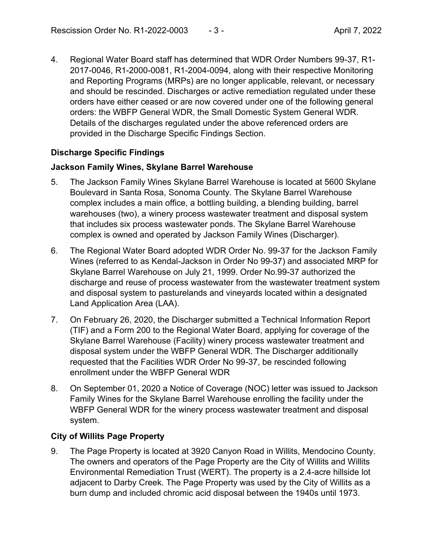4. Regional Water Board staff has determined that WDR Order Numbers 99-37, R1- 2017-0046, R1-2000-0081, R1-2004-0094, along with their respective Monitoring and Reporting Programs (MRPs) are no longer applicable, relevant, or necessary and should be rescinded. Discharges or active remediation regulated under these orders have either ceased or are now covered under one of the following general orders: the WBFP General WDR, the Small Domestic System General WDR. Details of the discharges regulated under the above referenced orders are provided in the Discharge Specific Findings Section.

### **Discharge Specific Findings**

#### **Jackson Family Wines, Skylane Barrel Warehouse**

- 5. The Jackson Family Wines Skylane Barrel Warehouse is located at 5600 Skylane Boulevard in Santa Rosa, Sonoma County. The Skylane Barrel Warehouse complex includes a main office, a bottling building, a blending building, barrel warehouses (two), a winery process wastewater treatment and disposal system that includes six process wastewater ponds. The Skylane Barrel Warehouse complex is owned and operated by Jackson Family Wines (Discharger).
- 6. The Regional Water Board adopted WDR Order No. 99-37 for the Jackson Family Wines (referred to as Kendal-Jackson in Order No 99-37) and associated MRP for Skylane Barrel Warehouse on July 21, 1999. Order No.99-37 authorized the discharge and reuse of process wastewater from the wastewater treatment system and disposal system to pasturelands and vineyards located within a designated Land Application Area (LAA).
- 7. On February 26, 2020, the Discharger submitted a Technical Information Report (TIF) and a Form 200 to the Regional Water Board, applying for coverage of the Skylane Barrel Warehouse (Facility) winery process wastewater treatment and disposal system under the WBFP General WDR. The Discharger additionally requested that the Facilities WDR Order No 99-37, be rescinded following enrollment under the WBFP General WDR
- 8. On September 01, 2020 a Notice of Coverage (NOC) letter was issued to Jackson Family Wines for the Skylane Barrel Warehouse enrolling the facility under the WBFP General WDR for the winery process wastewater treatment and disposal system.

#### **City of Willits Page Property**

9. The Page Property is located at 3920 Canyon Road in Willits, Mendocino County. The owners and operators of the Page Property are the City of Willits and Willits Environmental Remediation Trust (WERT). The property is a 2.4-acre hillside lot adjacent to Darby Creek. The Page Property was used by the City of Willits as a burn dump and included chromic acid disposal between the 1940s until 1973.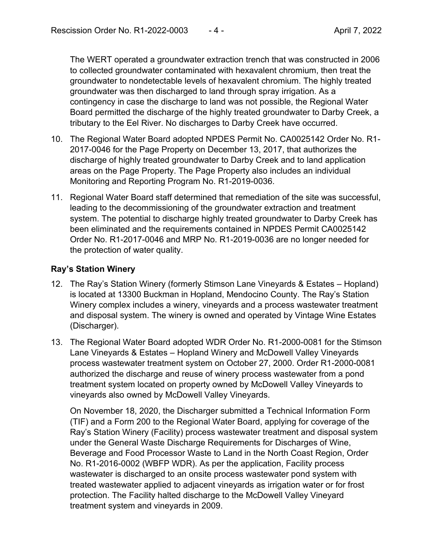The WERT operated a groundwater extraction trench that was constructed in 2006 to collected groundwater contaminated with hexavalent chromium, then treat the groundwater to nondetectable levels of hexavalent chromium. The highly treated groundwater was then discharged to land through spray irrigation. As a contingency in case the discharge to land was not possible, the Regional Water Board permitted the discharge of the highly treated groundwater to Darby Creek, a tributary to the Eel River. No discharges to Darby Creek have occurred.

- 10. The Regional Water Board adopted NPDES Permit No. CA0025142 Order No. R1- 2017-0046 for the Page Property on December 13, 2017, that authorizes the discharge of highly treated groundwater to Darby Creek and to land application areas on the Page Property. The Page Property also includes an individual Monitoring and Reporting Program No. R1-2019-0036.
- 11. Regional Water Board staff determined that remediation of the site was successful, leading to the decommissioning of the groundwater extraction and treatment system. The potential to discharge highly treated groundwater to Darby Creek has been eliminated and the requirements contained in NPDES Permit CA0025142 Order No. R1-2017-0046 and MRP No. R1-2019-0036 are no longer needed for the protection of water quality.

#### **Ray's Station Winery**

- 12. The Ray's Station Winery (formerly Stimson Lane Vineyards & Estates Hopland) is located at 13300 Buckman in Hopland, Mendocino County. The Ray's Station Winery complex includes a winery, vineyards and a process wastewater treatment and disposal system. The winery is owned and operated by Vintage Wine Estates (Discharger).
- 13. The Regional Water Board adopted WDR Order No. R1-2000-0081 for the Stimson Lane Vineyards & Estates – Hopland Winery and McDowell Valley Vineyards process wastewater treatment system on October 27, 2000. Order R1-2000-0081 authorized the discharge and reuse of winery process wastewater from a pond treatment system located on property owned by McDowell Valley Vineyards to vineyards also owned by McDowell Valley Vineyards.

On November 18, 2020, the Discharger submitted a Technical Information Form (TIF) and a Form 200 to the Regional Water Board, applying for coverage of the Ray's Station Winery (Facility) process wastewater treatment and disposal system under the General Waste Discharge Requirements for Discharges of Wine, Beverage and Food Processor Waste to Land in the North Coast Region, Order No. R1-2016-0002 (WBFP WDR). As per the application, Facility process wastewater is discharged to an onsite process wastewater pond system with treated wastewater applied to adjacent vineyards as irrigation water or for frost protection. The Facility halted discharge to the McDowell Valley Vineyard treatment system and vineyards in 2009.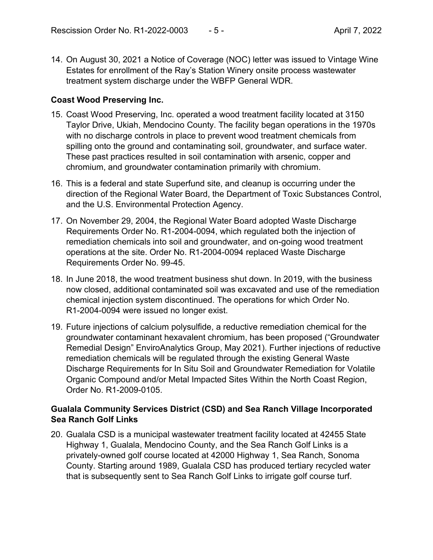14. On August 30, 2021 a Notice of Coverage (NOC) letter was issued to Vintage Wine Estates for enrollment of the Ray's Station Winery onsite process wastewater treatment system discharge under the WBFP General WDR.

## **Coast Wood Preserving Inc.**

- 15. Coast Wood Preserving, Inc. operated a wood treatment facility located at 3150 Taylor Drive, Ukiah, Mendocino County. The facility began operations in the 1970s with no discharge controls in place to prevent wood treatment chemicals from spilling onto the ground and contaminating soil, groundwater, and surface water. These past practices resulted in soil contamination with arsenic, copper and chromium, and groundwater contamination primarily with chromium.
- 16. This is a federal and state Superfund site, and cleanup is occurring under the direction of the Regional Water Board, the Department of Toxic Substances Control, and the U.S. Environmental Protection Agency.
- 17. On November 29, 2004, the Regional Water Board adopted Waste Discharge Requirements Order No. R1-2004-0094, which regulated both the injection of remediation chemicals into soil and groundwater, and on-going wood treatment operations at the site. Order No. R1-2004-0094 replaced Waste Discharge Requirements Order No. 99-45.
- 18. In June 2018, the wood treatment business shut down. In 2019, with the business now closed, additional contaminated soil was excavated and use of the remediation chemical injection system discontinued. The operations for which Order No. R1-2004-0094 were issued no longer exist.
- 19. Future injections of calcium polysulfide, a reductive remediation chemical for the groundwater contaminant hexavalent chromium, has been proposed ("Groundwater Remedial Design" EnviroAnalytics Group, May 2021). Further injections of reductive remediation chemicals will be regulated through the existing General Waste Discharge Requirements for In Situ Soil and Groundwater Remediation for Volatile Organic Compound and/or Metal Impacted Sites Within the North Coast Region, Order No. R1-2009-0105.

### **Gualala Community Services District (CSD) and Sea Ranch Village Incorporated Sea Ranch Golf Links**

20. Gualala CSD is a municipal wastewater treatment facility located at 42455 State Highway 1, Gualala, Mendocino County, and the Sea Ranch Golf Links is a privately-owned golf course located at 42000 Highway 1, Sea Ranch, Sonoma County. Starting around 1989, Gualala CSD has produced tertiary recycled water that is subsequently sent to Sea Ranch Golf Links to irrigate golf course turf.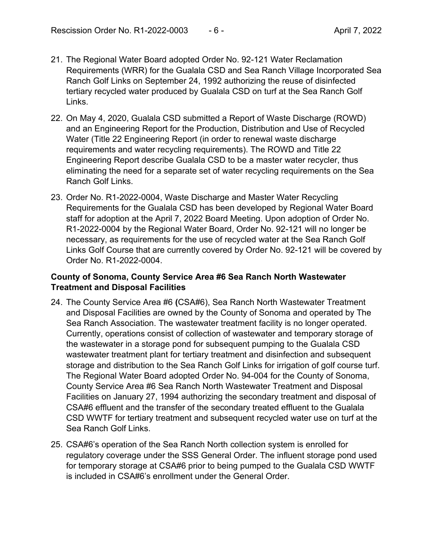- 21. The Regional Water Board adopted Order No. 92-121 Water Reclamation Requirements (WRR) for the Gualala CSD and Sea Ranch Village Incorporated Sea Ranch Golf Links on September 24, 1992 authorizing the reuse of disinfected tertiary recycled water produced by Gualala CSD on turf at the Sea Ranch Golf Links.
- 22. On May 4, 2020, Gualala CSD submitted a Report of Waste Discharge (ROWD) and an Engineering Report for the Production, Distribution and Use of Recycled Water (Title 22 Engineering Report (in order to renewal waste discharge requirements and water recycling requirements). The ROWD and Title 22 Engineering Report describe Gualala CSD to be a master water recycler, thus eliminating the need for a separate set of water recycling requirements on the Sea Ranch Golf Links.
- 23. Order No. R1-2022-0004, Waste Discharge and Master Water Recycling Requirements for the Gualala CSD has been developed by Regional Water Board staff for adoption at the April 7, 2022 Board Meeting. Upon adoption of Order No. R1-2022-0004 by the Regional Water Board, Order No. 92-121 will no longer be necessary, as requirements for the use of recycled water at the Sea Ranch Golf Links Golf Course that are currently covered by Order No. 92-121 will be covered by Order No. R1-2022-0004.

#### **County of Sonoma, County Service Area #6 Sea Ranch North Wastewater Treatment and Disposal Facilities**

- 24. The County Service Area #6 **(**CSA#6), Sea Ranch North Wastewater Treatment and Disposal Facilities are owned by the County of Sonoma and operated by The Sea Ranch Association. The wastewater treatment facility is no longer operated. Currently, operations consist of collection of wastewater and temporary storage of the wastewater in a storage pond for subsequent pumping to the Gualala CSD wastewater treatment plant for tertiary treatment and disinfection and subsequent storage and distribution to the Sea Ranch Golf Links for irrigation of golf course turf. The Regional Water Board adopted Order No. 94-004 for the County of Sonoma, County Service Area #6 Sea Ranch North Wastewater Treatment and Disposal Facilities on January 27, 1994 authorizing the secondary treatment and disposal of CSA#6 effluent and the transfer of the secondary treated effluent to the Gualala CSD WWTF for tertiary treatment and subsequent recycled water use on turf at the Sea Ranch Golf Links.
- 25. CSA#6's operation of the Sea Ranch North collection system is enrolled for regulatory coverage under the SSS General Order. The influent storage pond used for temporary storage at CSA#6 prior to being pumped to the Gualala CSD WWTF is included in CSA#6's enrollment under the General Order.